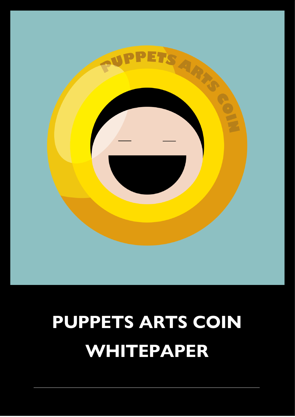

# **PUPPETS ARTS COIN WHITEPAPER**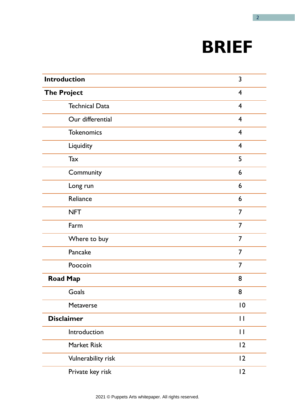# **BRIEF**

| <b>Introduction</b>   | 3                       |
|-----------------------|-------------------------|
| <b>The Project</b>    | $\overline{4}$          |
| <b>Technical Data</b> | $\overline{4}$          |
| Our differential      | $\overline{4}$          |
| <b>Tokenomics</b>     | $\overline{\mathbf{4}}$ |
| Liquidity             | $\overline{4}$          |
| Tax                   | 5                       |
| Community             | 6                       |
| Long run              | 6                       |
| Reliance              | 6                       |
| <b>NFT</b>            | $\overline{7}$          |
| Farm                  | 7                       |
| Where to buy          | $\overline{7}$          |
| Pancake               | $\overline{7}$          |
| Poocoin               | $\overline{7}$          |
| <b>Road Map</b>       | 8                       |
| Goals                 | 8                       |
| Metaverse             | $\overline{0}$          |
| <b>Disclaimer</b>     | $\mathsf{L}$            |
| Introduction          | $\mathbf{I}$            |
| <b>Market Risk</b>    | 12                      |
| Vulnerability risk    | 12                      |
| Private key risk      | 12                      |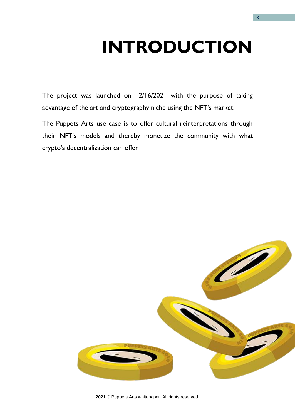# **INTRODUCTION**

The project was launched on 12/16/2021 with the purpose of taking advantage of the art and cryptography niche using the NFT's market.

The Puppets Arts use case is to offer cultural reinterpretations through their NFT's models and thereby monetize the community with what crypto's decentralization can offer.

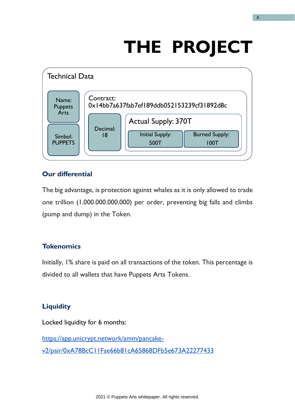# **THE PROJECT**



# **Our differential**

The big advantage, is protection against whales as it is only allowed to trade one trillion (1.000.000.000.000) per order, preventing big falls and climbs (pump and dump) in the Token.

# **Tokenomics**

Initially, 1% share is paid on all transactions of the token. This percentage is divided to all wallets that have Puppets Arts Tokens.

# **Liquidity**

Locked liquidity for 6 months:

[https://app.unicrypt.network/amm/pancake](https://app.unicrypt.network/amm/pancake-v2/pair/0xA78BcC11Fae66b81cA65868DFb5e673A22277433)[v2/pair/0xA78BcC11Fae66b81cA65868DFb5e673A22277433](https://app.unicrypt.network/amm/pancake-v2/pair/0xA78BcC11Fae66b81cA65868DFb5e673A22277433)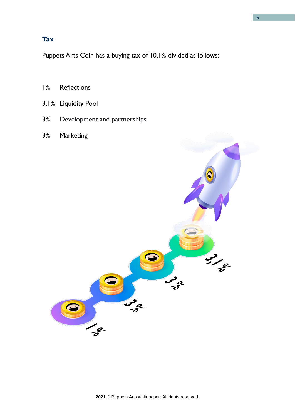# **Tax**

Puppets Arts Coin has a buying tax of 10,1% divided as follows:

- 1% Reflections
- 3,1% Liquidity Pool
- 3% Development and partnerships
- 3% Marketing

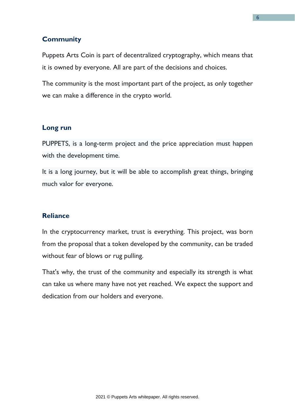# **Community**

Puppets Arts Coin is part of decentralized cryptography, which means that it is owned by everyone. All are part of the decisions and choices.

The community is the most important part of the project, as only together we can make a difference in the crypto world.

#### **Long run**

PUPPETS, is a long-term project and the price appreciation must happen with the development time.

It is a long journey, but it will be able to accomplish great things, bringing much valor for everyone.

#### **Reliance**

In the cryptocurrency market, trust is everything. This project, was born from the proposal that a token developed by the community, can be traded without fear of blows or rug pulling.

That's why, the trust of the community and especially its strength is what can take us where many have not yet reached. We expect the support and dedication from our holders and everyone.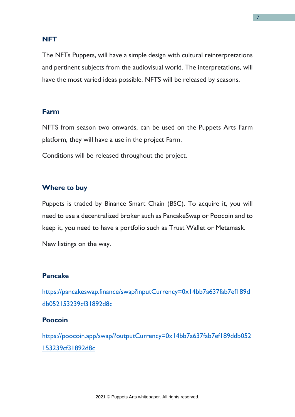## **NFT**

The NFTs Puppets, will have a simple design with cultural reinterpretations and pertinent subjects from the audiovisual world. The interpretations, will have the most varied ideas possible. NFTS will be released by seasons.

#### **Farm**

NFTS from season two onwards, can be used on the Puppets Arts Farm platform, they will have a use in the project Farm.

Conditions will be released throughout the project.

#### **Where to buy**

Puppets is traded by Binance Smart Chain (BSC). To acquire it, you will need to use a decentralized broker such as PancakeSwap or Poocoin and to keep it, you need to have a portfolio such as Trust Wallet or Metamask.

New listings on the way.

#### **Pancake**

[https://pancakeswap.finance/swap?inputCurrency=0x14bb7a637fab7ef189d](https://pancakeswap.finance/swap?inputCurrency=0x14bb7a637fab7ef189ddb052153239cf31892d8c) [db052153239cf31892d8c](https://pancakeswap.finance/swap?inputCurrency=0x14bb7a637fab7ef189ddb052153239cf31892d8c)

#### **Poocoin**

[https://poocoin.app/swap/?outputCurrency=0x14bb7a637fab7ef189ddb052](https://poocoin.app/swap/?outputCurrency=0x14bb7a637fab7ef189ddb052153239cf31892d8c) [153239cf31892d8c](https://poocoin.app/swap/?outputCurrency=0x14bb7a637fab7ef189ddb052153239cf31892d8c)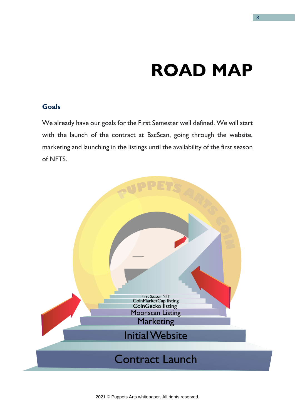# **ROAD MAP**

# **Goals**

We already have our goals for the First Semester well defined. We will start with the launch of the contract at BscScan, going through the website, marketing and launching in the listings until the availability of the first season of NFTS.

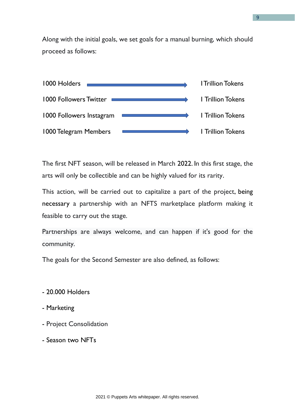Along with the initial goals, we set goals for a manual burning, which should proceed as follows:



The first NFT season, will be released in March 2022. In this first stage, the arts will only be collectible and can be highly valued for its rarity.

This action, will be carried out to capitalize a part of the project, being necessary a partnership with an NFTS marketplace platform making it feasible to carry out the stage.

Partnerships are always welcome, and can happen if it's good for the community.

The goals for the Second Semester are also defined, as follows:

- 20.000 Holders
- Marketing
- Project Consolidation
- Season two NFTs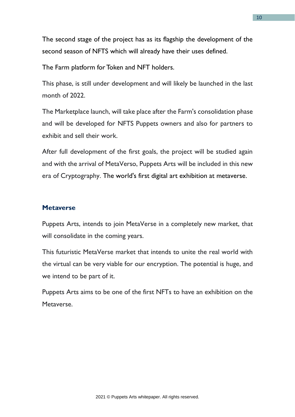The second stage of the project has as its flagship the development of the second season of NFTS which will already have their uses defined.

The Farm platform for Token and NFT holders.

This phase, is still under development and will likely be launched in the last month of 2022.

The Marketplace launch, will take place after the Farm's consolidation phase and will be developed for NFTS Puppets owners and also for partners to exhibit and sell their work.

After full development of the first goals, the project will be studied again and with the arrival of MetaVerso, Puppets Arts will be included in this new era of Cryptography. The world's first digital art exhibition at metaverse.

## **Metaverse**

Puppets Arts, intends to join MetaVerse in a completely new market, that will consolidate in the coming years.

This futuristic MetaVerse market that intends to unite the real world with the virtual can be very viable for our encryption. The potential is huge, and we intend to be part of it.

Puppets Arts aims to be one of the first NFTs to have an exhibition on the Metaverse.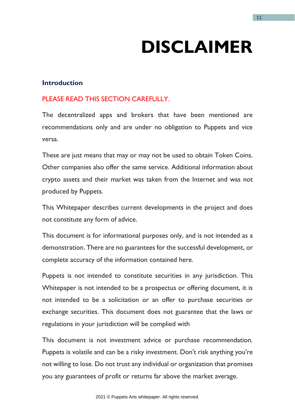# **DISCLAIMER**

## **Introduction**

# PLEASE READ THIS SECTION CAREFULLY.

The decentralized apps and brokers that have been mentioned are recommendations only and are under no obligation to Puppets and vice versa.

These are just means that may or may not be used to obtain Token Coins. Other companies also offer the same service. Additional information about crypto assets and their market was taken from the Internet and was not produced by Puppets.

This Whitepaper describes current developments in the project and does not constitute any form of advice.

This document is for informational purposes only, and is not intended as a demonstration. There are no guarantees for the successful development, or complete accuracy of the information contained here.

Puppets is not intended to constitute securities in any jurisdiction. This Whitepaper is not intended to be a prospectus or offering document, it is not intended to be a solicitation or an offer to purchase securities or exchange securities. This document does not guarantee that the laws or regulations in your jurisdiction will be complied with

This document is not investment advice or purchase recommendation. Puppets is volatile and can be a risky investment. Don't risk anything you're not willing to lose. Do not trust any individual or organization that promises you any guarantees of profit or returns far above the market average.